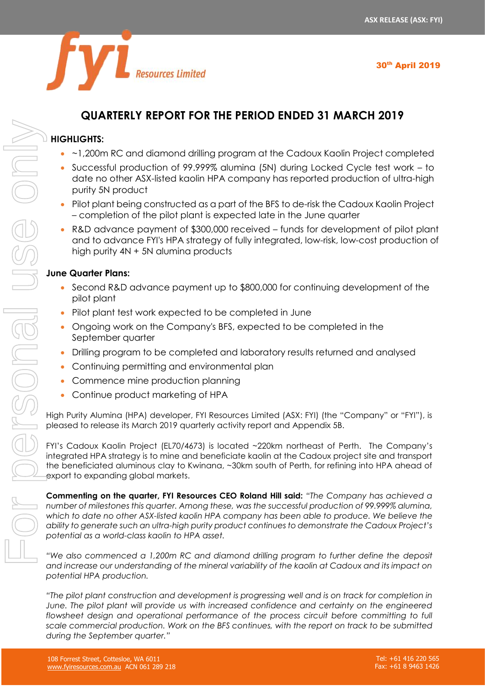30th April 2019



# **QUARTERLY REPORT FOR THE PERIOD ENDED 31 MARCH 2019**

# **HIGHLIGHTS:**

- ~1,200m RC and diamond drilling program at the Cadoux Kaolin Project completed
- Successful production of 99.999% alumina (5N) during Locked Cycle test work to date no other ASX-listed kaolin HPA company has reported production of ultra-high purity 5N product
- Pilot plant being constructed as a part of the BFS to de-risk the Cadoux Kaolin Project – completion of the pilot plant is expected late in the June quarter
- R&D advance payment of \$300,000 received funds for development of pilot plant and to advance FYI's HPA strategy of fully integrated, low-risk, low-cost production of high purity 4N + 5N alumina products

# **June Quarter Plans:**

- Second R&D advance payment up to \$800,000 for continuing development of the pilot plant
- Pilot plant test work expected to be completed in June
- Ongoing work on the Company's BFS, expected to be completed in the September quarter
- Drilling program to be completed and laboratory results returned and analysed
- Continuing permitting and environmental plan
- Commence mine production planning
- Continue product marketing of HPA

High Purity Alumina (HPA) developer, FYI Resources Limited (ASX: FYI) (the "Company" or "FYI"), is pleased to release its March 2019 quarterly activity report and Appendix 5B.

FYI's Cadoux Kaolin Project (EL70/4673) is located ~220km northeast of Perth. The Company's integrated HPA strategy is to mine and beneficiate kaolin at the Cadoux project site and transport the beneficiated aluminous clay to Kwinana, ~30km south of Perth, for refining into HPA ahead of export to expanding global markets.

**Commenting on the quarter, FYI Resources CEO Roland Hill said:** *"The Company has achieved a number of milestones this quarter. Among these, was the successful production of 99.999% alumina,* which to date no other ASX-listed kaolin HPA company has been able to produce. We believe the *ability to generate such an ultra-high purity product continues to demonstrate the Cadoux Project's potential as a world-class kaolin to HPA asset.*

*"We also commenced a 1,200m RC and diamond drilling program to further define the deposit and increase our understanding of the mineral variability of the kaolin at Cadoux and its impact on potential HPA production.*

*"The pilot plant construction and development is progressing well and is on track for completion in June. The pilot plant will provide us with increased confidence and certainty on the engineered*  flowsheet design and operational performance of the process circuit before committing to full *scale commercial production. Work on the BFS continues, with the report on track to be submitted*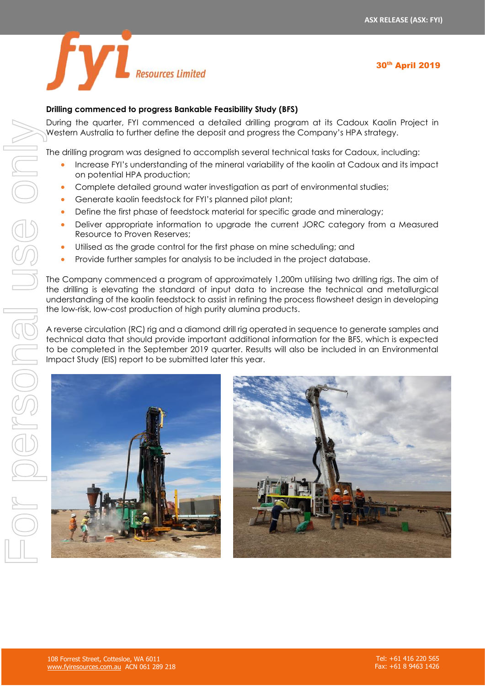



# **Drilling commenced to progress Bankable Feasibility Study (BFS)**

During the quarter, FYI commenced a detailed drilling program at its Cadoux Kaolin Project in Western Australia to further define the deposit and progress the Company's HPA strategy.

The drilling program was designed to accomplish several technical tasks for Cadoux, including:

- Increase FYI's understanding of the mineral variability of the kaolin at Cadoux and its impact on potential HPA production;
- Complete detailed ground water investigation as part of environmental studies;
- Generate kaolin feedstock for FYI's planned pilot plant;
- Define the first phase of feedstock material for specific grade and mineralogy;
- Deliver appropriate information to upgrade the current JORC category from a Measured Resource to Proven Reserves;
- Utilised as the grade control for the first phase on mine scheduling; and
- Provide further samples for analysis to be included in the project database.

The Company commenced a program of approximately 1,200m utilising two drilling rigs. The aim of the drilling is elevating the standard of input data to increase the technical and metallurgical understanding of the kaolin feedstock to assist in refining the process flowsheet design in developing the low-risk, low-cost production of high purity alumina products.

A reverse circulation (RC) rig and a diamond drill rig operated in sequence to generate samples and technical data that should provide important additional information for the BFS, which is expected to be completed in the September 2019 quarter. Results will also be included in an Environmental



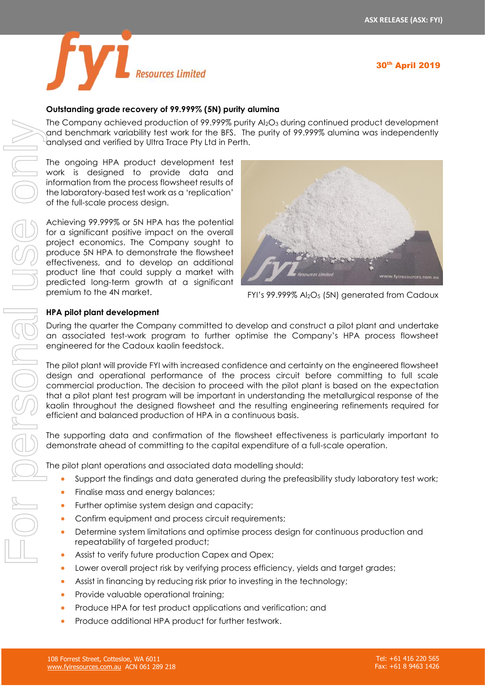

# 30th April 2019

### **Outstanding grade recovery of 99.999% (5N) purity alumina**

The Company achieved production of 99.999% purity Al2O<sup>3</sup> during continued product development and benchmark variability test work for the BFS. The purity of 99.999% alumina was independently analysed and verified by Ultra Trace Pty Ltd in Perth.

The ongoing HPA product development test work is designed to provide data and information from the process flowsheet results of the laboratory-based test work as a 'replication' of the full-scale process design.

Achieving 99.999% or 5N HPA has the potential for a significant positive impact on the overall project economics. The Company sought to produce 5N HPA to demonstrate the flowsheet effectiveness, and to develop an additional product line that could supply a market with predicted long-term growth at a significant premium to the 4N market.



FYI's 99.999% Al2O<sup>5</sup> (5N) generated from Cadoux

#### **HPA pilot plant development**

During the quarter the Company committed to develop and construct a pilot plant and undertake an associated test-work program to further optimise the Company's HPA process flowsheet engineered for the Cadoux kaolin feedstock.

The pilot plant will provide FYI with increased confidence and certainty on the engineered flowsheet design and operational performance of the process circuit before committing to full scale commercial production. The decision to proceed with the pilot plant is based on the expectation that a pilot plant test program will be important in understanding the metallurgical response of the kaolin throughout the designed flowsheet and the resulting engineering refinements required for efficient and balanced production of HPA in a continuous basis.

The supporting data and confirmation of the flowsheet effectiveness is particularly important to demonstrate ahead of committing to the capital expenditure of a full-scale operation.

The pilot plant operations and associated data modelling should:

- Support the findings and data generated during the prefeasibility study laboratory test work;
- Finalise mass and energy balances;
- Further optimise system design and capacity;
- Confirm equipment and process circuit requirements;
- Determine system limitations and optimise process design for continuous production and repeatability of targeted product;
- Assist to verify future production Capex and Opex;
- Lower overall project risk by verifying process efficiency, yields and target grades;
- Assist in financing by reducing risk prior to investing in the technology;
- Provide valuable operational training:
- Produce HPA for test product applications and verification; and
- Produce additional HPA product for further testwork.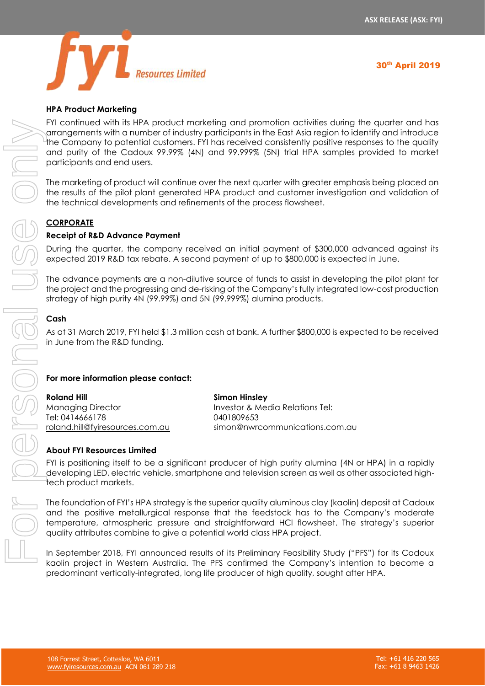

# **HPA Product Marketing**

FYI continued with its HPA product marketing and promotion activities during the quarter and has arrangements with a number of industry participants in the East Asia region to identify and introduce the Company to potential customers. FYI has received consistently positive responses to the quality and purity of the Cadoux 99.99% (4N) and 99.999% (5N) trial HPA samples provided to market participants and end users.

The marketing of product will continue over the next quarter with greater emphasis being placed on the results of the pilot plant generated HPA product and customer investigation and validation of the technical developments and refinements of the process flowsheet.

# **CORPORATE**

#### **Receipt of R&D Advance Payment**

During the quarter, the company received an initial payment of \$300,000 advanced against its expected 2019 R&D tax rebate. A second payment of up to \$800,000 is expected in June.

The advance payments are a non-dilutive source of funds to assist in developing the pilot plant for the project and the progressing and de-risking of the Company's fully integrated low-cost production strategy of high purity 4N (99.99%) and 5N (99.999%) alumina products.

#### **Cash**

As at 31 March 2019, FYI held \$1.3 million cash at bank. A further \$800,000 is expected to be received in June from the R&D funding.

#### **For more information please contact:**

**Roland Hill** Managing Director Tel: 0414666178 [roland.hill@fyiresources.com.au](mailto:roland.hill@fyiresources.com.au) **Simon Hinsley** Investor & Media Relations Tel: 0401809653 [simon@nwrcommunications.com.au](mailto:simon@nwrcommunications.com.au)

# **About FYI Resources Limited**

FYI is positioning itself to be a significant producer of high purity alumina (4N or HPA) in a rapidly developing LED, electric vehicle, smartphone and television screen as well as other associated hightech product markets.

The foundation of FYI's HPA strategy is the superior quality aluminous clay (kaolin) deposit at Cadoux and the positive metallurgical response that the feedstock has to the Company's moderate temperature, atmospheric pressure and straightforward HCl flowsheet. The strategy's superior quality attributes combine to give a potential world class HPA project.

In September 2018, FYI announced results of its Preliminary Feasibility Study ("PFS") for its Cadoux predominant vertically-integrated, long life producer of high quality, sought after HPA.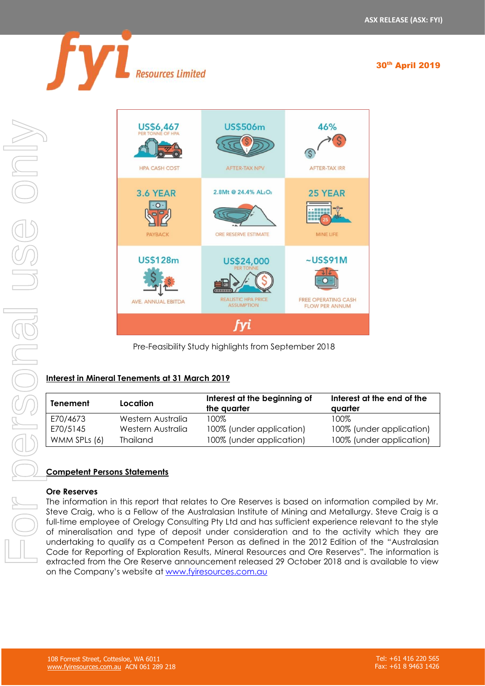30<sup>th</sup> April 2019



Resources Limited



Pre-Feasibility Study highlights from September 2018

# **Interest in Mineral Tenements at 31 March 2019**

| Tenement     | Location          | Interest at the beginning of<br>the quarter | Interest at the end of the<br>avarter |
|--------------|-------------------|---------------------------------------------|---------------------------------------|
| E70/4673     | Western Australia | 100%                                        | 100%                                  |
| E70/5145     | Western Australia | 100% (under application)                    | 100% (under application)              |
| WMM SPLs (6) | <b>Thailand</b>   | 100% (under application)                    | 100% (under application)              |

# **Competent Persons Statements**

# **Ore Reserves**

The information in this report that relates to Ore Reserves is based on information compiled by Mr. Steve Craig, who is a Fellow of the Australasian Institute of Mining and Metallurgy. Steve Craig is a full-time employee of Orelogy Consulting Pty Ltd and has sufficient experience relevant to the style of mineralisation and type of deposit under consideration and to the activity which they are undertaking to qualify as a Competent Person as defined in the 2012 Edition of the "Australasian Code for Reporting of Exploration Results, Mineral Resources and Ore Reserves". The information is extracted from the Ore Reserve announcement released 29 October 2018 and is available to view on the Company's website at [www.fyiresources.com.au](http://www.fyiresources.com.au/)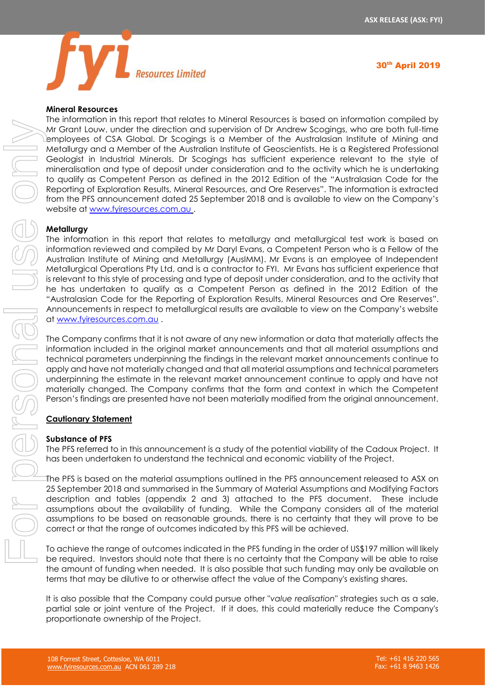

#### **Mineral Resources**

The information in this report that relates to Mineral Resources is based on information compiled by Mr Grant Louw, under the direction and supervision of Dr Andrew Scogings, who are both full-time employees of CSA Global. Dr Scogings is a Member of the Australasian Institute of Mining and Metallurgy and a Member of the Australian Institute of Geoscientists. He is a Registered Professional Geologist in Industrial Minerals. Dr Scogings has sufficient experience relevant to the style of mineralisation and type of deposit under consideration and to the activity which he is undertaking to qualify as Competent Person as defined in the 2012 Edition of the "Australasian Code for the Reporting of Exploration Results, Mineral Resources, and Ore Reserves". The information is extracted from the PFS announcement dated 25 September 2018 and is available to view on the Company's website at [www.fyiresources.com.au](http://www.fyiresources.com.au/) .

#### **Metallurgy**

The information in this report that relates to metallurgy and metallurgical test work is based on information reviewed and compiled by Mr Daryl Evans, a Competent Person who is a Fellow of the Australian Institute of Mining and Metallurgy (AusIMM). Mr Evans is an employee of Independent Metallurgical Operations Pty Ltd, and is a contractor to FYI. Mr Evans has sufficient experience that is relevant to this style of processing and type of deposit under consideration, and to the activity that he has undertaken to qualify as a Competent Person as defined in the 2012 Edition of the "Australasian Code for the Reporting of Exploration Results, Mineral Resources and Ore Reserves". Announcements in respect to metallurgical results are available to view on the Company's website at [www.fyiresources.com.au](http://www.fyiresources.com.au/) .

The Company confirms that it is not aware of any new information or data that materially affects the information included in the original market announcements and that all material assumptions and technical parameters underpinning the findings in the relevant market announcements continue to apply and have not materially changed and that all material assumptions and technical parameters underpinning the estimate in the relevant market announcement continue to apply and have not materially changed. The Company confirms that the form and context in which the Competent Person's findings are presented have not been materially modified from the original announcement.

#### **Cautionary Statement**

#### **Substance of PFS**

The PFS referred to in this announcement is a study of the potential viability of the Cadoux Project. It has been undertaken to understand the technical and economic viability of the Project.

The PFS is based on the material assumptions outlined in the PFS announcement released to ASX on 25 September 2018 and summarised in the Summary of Material Assumptions and Modifying Factors description and tables (appendix 2 and 3) attached to the PFS document. These include assumptions about the availability of funding. While the Company considers all of the material assumptions to be based on reasonable grounds, there is no certainty that they will prove to be correct or that the range of outcomes indicated by this PFS will be achieved.

To achieve the range of outcomes indicated in the PFS funding in the order of US\$197 million will likely be required. Investors should note that there is no certainty that the Company will be able to raise the amount of funding when needed. It is also possible that such funding may only be available on terms that may be dilutive to or otherwise affect the value of the Company's existing shares.

It is also possible that the Company could pursue other "*value realisation*" strategies such as a sale, partial sale or joint venture of the Project. If it does, this could materially reduce the Company's